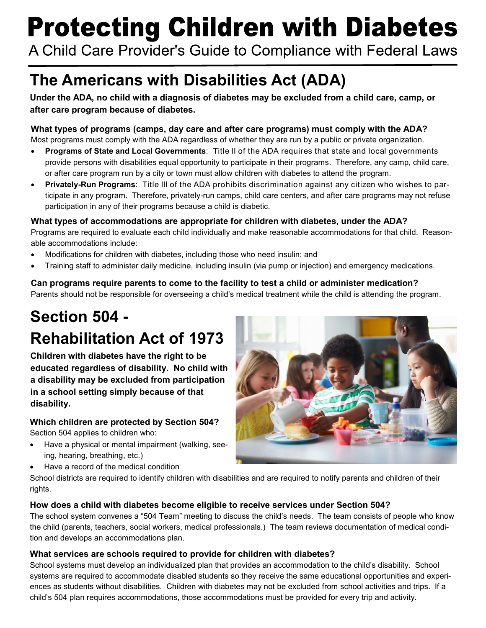# **Protecting Children with Diabetes**

A Child Care Provider's Guide to Compliance with Federal Laws

## **The Americans with Disabilities Act (ADA)**

**Under the ADA, no child with a diagnosis of diabetes may be excluded from a child care, camp, or after care program because of diabetes.**

#### **What types of programs (camps, day care and after care programs) must comply with the ADA?**

Most programs must comply with the ADA regardless of whether they are run by a public or private organization.

- **Programs of State and Local Governments**: Title II of the ADA requires that state and local governments provide persons with disabilities equal opportunity to participate in their programs. Therefore, any camp, child care, or after care program run by a city or town must allow children with diabetes to attend the program.
- **Privately-Run Programs**: Title III of the ADA prohibits discrimination against any citizen who wishes to participate in any program. Therefore, privately-run camps, child care centers, and after care programs may not refuse participation in any of their programs because a child is diabetic.

#### **What types of accommodations are appropriate for children with diabetes, under the ADA?**

Programs are required to evaluate each child individually and make reasonable accommodations for that child. Reasonable accommodations include:

- Modifications for children with diabetes, including those who need insulin; and
- Training staff to administer daily medicine, including insulin (via pump or injection) and emergency medications.

**Can programs require parents to come to the facility to test a child or administer medication?** Parents should not be responsible for overseeing a child's medical treatment while the child is attending the program.

## **Section 504 - Rehabilitation Act of 1973**

**Children with diabetes have the right to be educated regardless of disability. No child with a disability may be excluded from participation in a school setting simply because of that disability.**

#### **Which children are protected by Section 504?**

Section 504 applies to children who:

- Have a physical or mental impairment (walking, seeing, hearing, breathing, etc.)
- Have a record of the medical condition



School districts are required to identify children with disabilities and are required to notify parents and children of their rights.

#### **How does a child with diabetes become eligible to receive services under Section 504?**

The school system convenes a "504 Team" meeting to discuss the child's needs. The team consists of people who know the child (parents, teachers, social workers, medical professionals.) The team reviews documentation of medical condition and develops an accommodations plan.

#### **What services are schools required to provide for children with diabetes?**

School systems must develop an individualized plan that provides an accommodation to the child's disability. School systems are required to accommodate disabled students so they receive the same educational opportunities and experiences as students without disabilities. Children with diabetes may not be excluded from school activities and trips. If a child's 504 plan requires accommodations, those accommodations must be provided for every trip and activity.